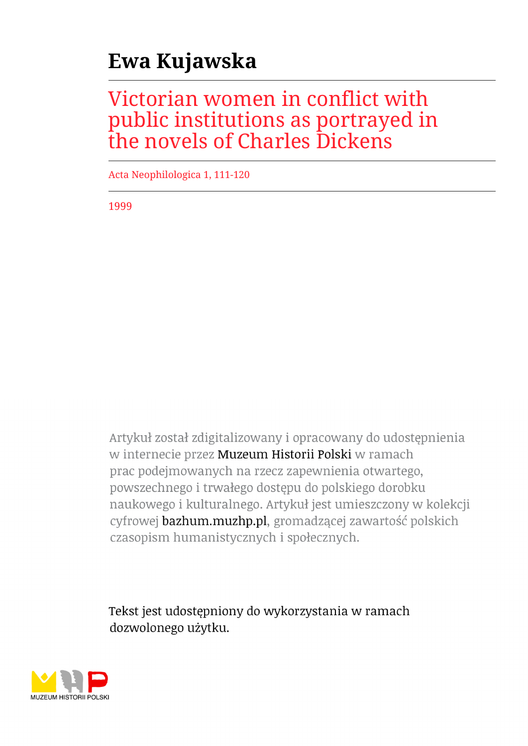## **Ewa Kujawska**

## Victorian women in conflict with public institutions as portrayed in the novels of Charles Dickens

Acta Neophilologica 1, 111-120

1999

Artykuł został zdigitalizowany i opracowany do udostępnienia w internecie przez Muzeum Historii Polski w ramach prac podejmowanych na rzecz zapewnienia otwartego, powszechnego i trwałego dostępu do polskiego dorobku naukowego i kulturalnego. Artykuł jest umieszczony w kolekcji cyfrowej bazhum.muzhp.pl, gromadzącej zawartość polskich czasopism humanistycznych i społecznych.

Tekst jest udostępniony do wykorzystania w ramach dozwolonego użytku.

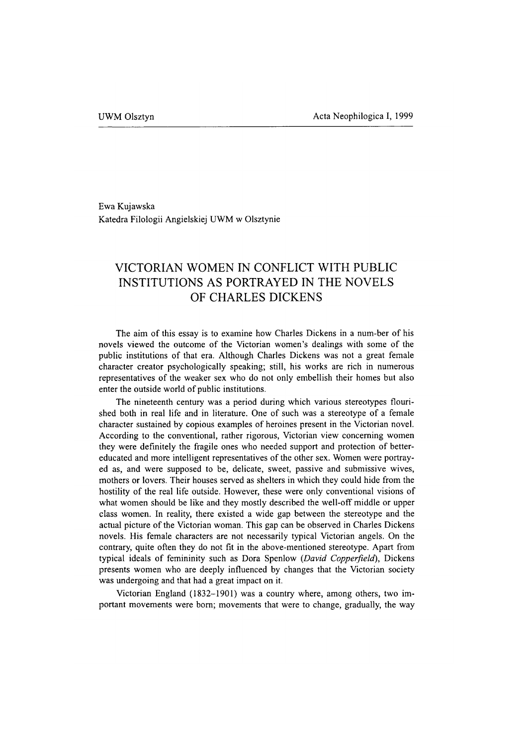Ewa Kujawska Katedra Filologii Angielskiej UWM w Olsztynie

## **VICTORIAN WOMEN IN CONFLICT WITH PUBLIC INSTITUTIONS AS PORTRAYED IN THE NOVELS OF CHARLES DICKENS**

The aim of this essay is to examine how Charles Dickens in a num-ber of his novels viewed the outcome of the Victorian women's dealings with some of the public institutions of that era. Although Charles Dickens was not a great female character creator psychologically speaking; still, his works are rich in numerous representatives of the weaker sex who do not only embellish their homes but also enter the outside world of public institutions.

The nineteenth century was a period during which various stereotypes flourished both in real life and in literature. One of such was a stereotype of a female character sustained by copious examples of heroines present in the Victorian novel. According to the conventional, rather rigorous, Victorian view concerning women they were definitely the fragile ones who needed support and protection of bettereducated and more intelligent representatives of the other sex. Women were portrayed as, and were supposed to be, delicate, sweet, passive and submissive wives, mothers or lovers. Their houses served as shelters in which they could hide from the hostility of the real life outside. However, these were only conventional visions of what women should be like and they mostly described the well-off middle or upper class women. In reality, there existed a wide gap between the stereotype and the actual picture of the Victorian woman. This gap can be observed in Charles Dickens novels. His female characters are not necessarily typical Victorian angels. On the contrary, quite often they do not fit in the above-mentioned stereotype. Apart from typical ideals of femininity such as Dora Spenlow *{David Copperfield),* Dickens presents women who are deeply influenced by changes that the Victorian society was undergoing and that had a great impact on it.

Victorian England (1832-1901) was a country where, among others, two important movements were bom; movements that were to change, gradually, the way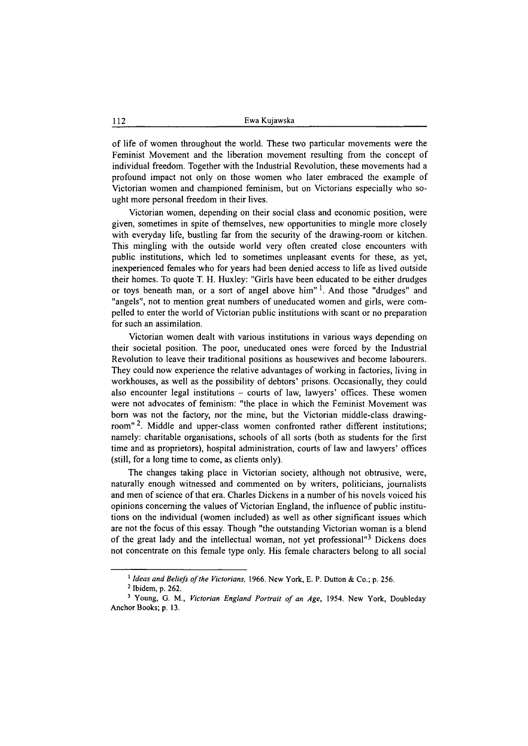of life of women throughout the world. These two particular movements were the Feminist Movement and the liberation movement resulting from the concept of individual freedom. Together with the Industrial Revolution, these movements had a profound impact not only on those women who later embraced the example of Victorian women and championed feminism, but on Victorians especially who sought more personal freedom in their lives.

Victorian women, depending on their social class and economic position, were given, sometimes in spite of themselves, new opportunities to mingle more closely with everyday life, bustling far from the security of the drawing-room or kitchen. This mingling with the outside world very often created close encounters with public institutions, which led to sometimes unpleasant events for these, as yet, inexperienced females who for years had been denied access to life as lived outside their homes. To quote T. H. Huxley: "Girls have been educated to be either drudges or toys beneath man, or a sort of angel above him<sup>" 1</sup>. And those "drudges" and "angels", not to mention great numbers of uneducated women and girls, were compelled to enter the world of Victorian public institutions with scant or no preparation for such an assimilation.

Victorian women dealt with various institutions in various ways depending on their societal position. The poor, uneducated ones were forced by the Industrial Revolution to leave their traditional positions as housewives and become labourers. They could now experience the relative advantages of working in factories, living in workhouses, as well as the possibility of debtors' prisons. Occasionally, they could also encounter legal institutions  $-$  courts of law, lawyers' offices. These women were not advocates of feminism: "the place in which the Feminist Movement was bom was not the factory, nor the mine, but the Victorian middle-class drawingroom"<sup>2</sup>. Middle and upper-class women confronted rather different institutions; namely: charitable organisations, schools of all sorts (both as students for the first time and as proprietors), hospital administration, courts of law and lawyers' offices (still, for a long time to come, as clients only).

The changes taking place in Victorian society, although not obtrusive, were, naturally enough witnessed and commented on by writers, politicians, journalists and men of science of that era. Charles Dickens in a number of his novels voiced his opinions concerning the values of Victorian England, the influence of public institutions on the individual (women included) as well as other significant issues which are not the focus of this essay. Though "the outstanding Victorian woman is a blend of the great lady and the intellectual woman, not yet professional"3 Dickens does not concentrate on this female type only. His female characters belong to all social

**<sup>1</sup>** *Ideas and Beliefs of the Victorians,* **1966. New York, E. P. Dutton & Co.; p. 256.**

**<sup>2</sup> Ibidem, p. 262.**

<sup>&</sup>lt;sup>3</sup> Young, G. M., *Victorian England Portrait of an Age*, 1954. New York, Doubleday **Anchor Books; p. 13.**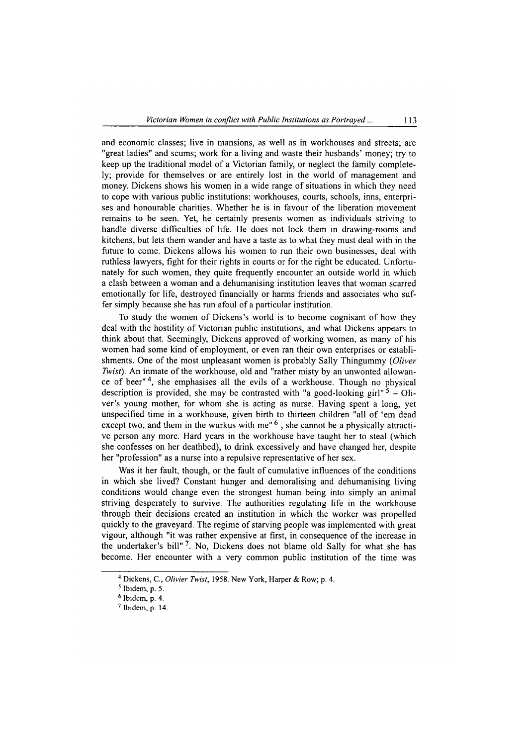and economic classes; live in mansions, as well as in workhouses and streets; are "great ladies" and scums; work for a living and waste their husbands' money; try to keep up the traditional model of a Victorian family, or neglect the family completely; provide for themselves or are entirely lost in the world of management and money. Dickens shows his women in a wide range of situations in which they need to cope with various public institutions: workhouses, courts, schools, inns, enterprises and honourable charities. Whether he is in favour of the liberation movement remains to be seen. Yet, he certainly presents women as individuals striving to handle diverse difficulties of life. He does not lock them in drawing-rooms and kitchens, but lets them wander and have a taste as to what they must deal with in the future to come. Dickens allows his women to run their own businesses, deal with ruthless lawyers, fight for their rights in courts or for the right be educated. Unfortunately for such women, they quite frequently encounter an outside world in which a clash between a woman and a dehumanising institution leaves that woman scarred emotionally for life, destroyed financially or harms friends and associates who suffer simply because she has run afoul of a particular institution.

To study the women of Dickens's world is to become cognisant of how they deal with the hostility of Victorian public institutions, and what Dickens appears to think about that. Seemingly, Dickens approved of working women, as many of his women had some kind of employment, or even ran their own enterprises or establishments. One of the most unpleasant women is probably Sally Thingummy *(Oliver Twist).* An inmate of the workhouse, old and "rather misty by an unwonted allowance of beer"4, she emphasises all the evils of a workhouse. Though no physical description is provided, she may be contrasted with "a good-looking girl"  $5 -$ Oliver's young mother, for whom she is acting as nurse. Having spent a long, yet unspecified time in a workhouse, given birth to thirteen children "all of 'em dead except two, and them in the wurkus with me" $<sup>6</sup>$ , she cannot be a physically attracti-</sup> ve person any more. Hard years in the workhouse have taught her to steal (which she confesses on her deathbed), to drink excessively and have changed her, despite her "profession" as a nurse into a repulsive representative of her sex.

Was it her fault, though, or the fault of cumulative influences of the conditions in which she lived? Constant hunger and demoralising and dehumanising living conditions would change even the strongest human being into simply an animal striving desperately to survive. The authorities regulating life in the workhouse through their decisions created an institution in which the worker was propelled quickly to the graveyard. The regime of starving people was implemented with great vigour, although "it was rather expensive at first, in consequence of the increase in the undertaker's bill" 7. No, Dickens does not blame old Sally for what she has become. Her encounter with a very common public institution of the time was

**<sup>4</sup> Dickens, C.,** *Olivier Twist,* **1958. New York, Harper & Row; p. 4.**

**<sup>5</sup> Ibidem, p. 5.**

**<sup>6</sup> Ibidem, p. 4.**

**<sup>7</sup> Ibidem, p. 14.**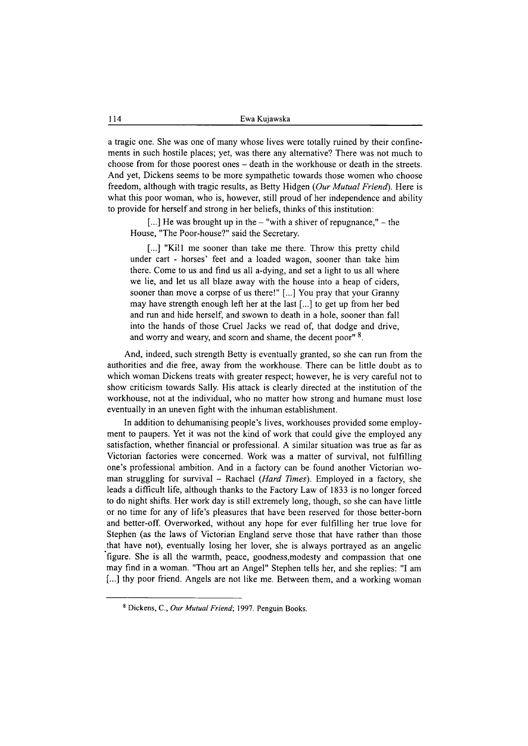a tragic one. She was one of many whose lives were totally ruined by their confinements in such hostile places; yet, was there any alternative? There was not much to choose from for those poorest ones - death in the workhouse or death in the streets. And yet, Dickens seems to be more sympathetic towards those women who choose freedom, although with tragic results, as Betty Hidgen *(Our Mutual Friend).* Here is what this poor woman, who is, however, still proud of her independence and ability to provide for herself and strong in her beliefs, thinks of this institution:

 $[...]$  He was brought up in the  $-$  "with a shiver of repugnance,"  $-$  the House, "The Poor-house?" said the Secretary.

[...] "Kill me sooner than take me there. Throw this pretty child under cart - horses' feet and a loaded wagon, sooner than take him there. Come to us and find us all a-dying, and set a light to us all where we lie, and let us all blaze away with the house into a heap of ciders, sooner than move a corpse of us there!" [...] You pray that your Granny may have strength enough left her at the last [...] to get up from her bed and run and hide herself, and swown to death in a hole, sooner than fall into the hands of those Cruel Jacks we read of, that dodge and drive, and worry and weary, and scorn and shame, the decent poor" 8.

And, indeed, such strength Betty is eventually granted, so she can run from the authorities and die free, away from the workhouse. There can be little doubt as to which woman Dickens treats with greater respect; however, he is very careful not to show criticism towards Sally. His attack is clearly directed at the institution of the workhouse, not at the individual, who no matter how strong and humane must lose eventually in an uneven fight with the inhuman establishment.

In addition to dehumanising people's lives, workhouses provided some employment to paupers. Yet it was not the kind of work that could give the employed any satisfaction, whether financial or professional. A similar situation was true as far as Victorian factories were concerned. Work was a matter of survival, not fulfilling one's professional ambition. And in a factory can be found another Victorian woman struggling for survival - Rachael *(Hard Times).* Employed in a factory, she leads a difficult life, although thanks to the Factory Law of 1833 is no longer forced to do night shifts. Her work day is still extremely long, though, so she can have little or no time for any of life's pleasures that have been reserved for those better-born and better-off. Overworked, without any hope for ever fulfilling her true love for Stephen (as the laws of Victorian England serve those that have rather than those that have not), eventually losing her lover, she is always portrayed as an angelic figure. She is all the warmth, peace, goodness,modesty and compassion that one may find in a woman. "Thou art an Angel" Stephen tells her, and she replies: "I am [...] thy poor friend. Angels are not like me. Between them, and a working woman

**<sup>8</sup> Dickens, C.,** *Our Mutual Friend***; 1997. Penguin Books.**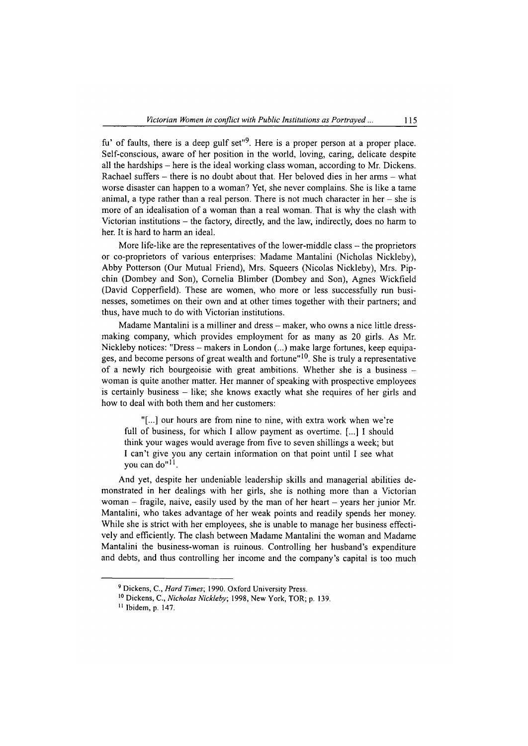fu' of faults, there is a deep gulf set<sup>"9</sup>. Here is a proper person at a proper place. Self-conscious, aware of her position in the world, loving, caring, delicate despite all the hardships - here is the ideal working class woman, according to Mr. Dickens. Rachael suffers - there is no doubt about that. Her beloved dies in her arms - what worse disaster can happen to a woman? Yet, she never complains. She is like a tame animal, a type rather than a real person. There is not much character in her  $-$  she is more of an idealisation of a woman than a real woman. That is why the clash with Victorian institutions  $-$  the factory, directly, and the law, indirectly, does no harm to her. It is hard to harm an ideal.

More life-like are the representatives of the lower-middle class  $-$  the proprietors or co-proprietors of various enterprises: Madame Mantalini (Nicholas Nickleby), Abby Potterson (Our Mutual Friend), Mrs. Squeers (Nicolas Nickleby), Mrs. Pipchin (Dombey and Son), Cornelia Blimber (Dombey and Son), Agnes Wickfield (David Copperfield). These are women, who more or less successfully run businesses, sometimes on their own and at other times together with their partners; and thus, have much to do with Victorian institutions.

Madame Mantalini is a milliner and dress – maker, who owns a nice little dressmaking company, which provides employment for as many as 20 girls. As Mr. Nickleby notices: "Dress  $-$  makers in London  $(...)$  make large fortunes, keep equipages, and become persons of great wealth and fortune" $10$ . She is truly a representative of a newly rich bourgeoisie with great ambitions. Whether she is a business woman is quite another matter. Her manner of speaking with prospective employees is certainly business - like; she knows exactly what she requires of her girls and how to deal with both them and her customers:

"[...] our hours are from nine to nine, with extra work when we're full of business, for which I allow payment as overtime. [...] I should think your wages would average from five to seven shillings a week; but I can't give you any certain information on that point until I see what you can do"<sup>11</sup>.

And yet, despite her undeniable leadership skills and managerial abilities demonstrated in her dealings with her girls, she is nothing more than a Victorian woman  $-$  fragile, naive, easily used by the man of her heart  $-$  years her junior Mr. Mantalini, who takes advantage of her weak points and readily spends her money. While she is strict with her employees, she is unable to manage her business effectively and efficiently. The clash between Madame Mantalini the woman and Madame Mantalini the business-woman is ruinous. Controlling her husband's expenditure and debts, and thus controlling her income and the company's capital is too much

**<sup>9</sup> Dickens, C.,** *Hard Times***; 1990. Oxford University Press.**

**<sup>10</sup> Dickens, C.,** *Nicholas Nickleby,* **1998, New York, TOR; p. 139.**

**<sup>11</sup> Ibidem, p. 147.**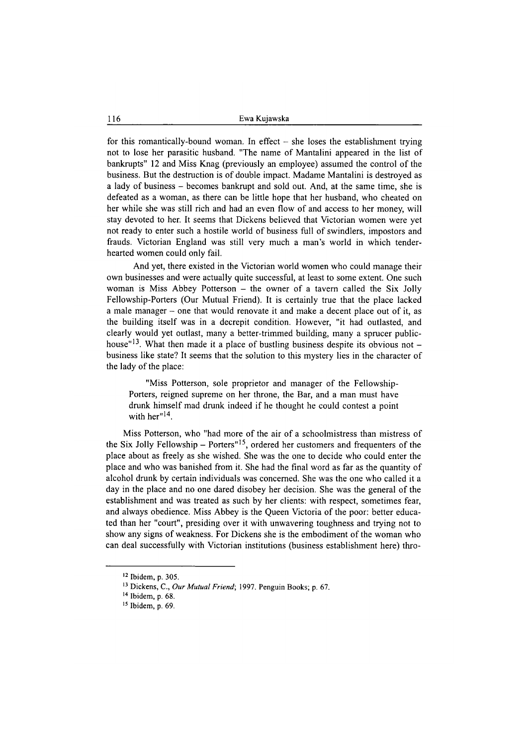for this romantically-bound woman. In effect  $-$  she loses the establishment trying not to lose her parasitic husband. "The name of Mantalini appeared in the list of bankrupts" 12 and Miss Knag (previously an employee) assumed the control of the business. But the destruction is of double impact. Madame Mantalini is destroyed as a lady of business - becomes bankrupt and sold out. And, at the same time, she is defeated as a woman, as there can be little hope that her husband, who cheated on her while she was still rich and had an even flow of and access to her money, will stay devoted to her. It seems that Dickens believed that Victorian women were yet not ready to enter such a hostile world of business full of swindlers, impostors and frauds. Victorian England was still very much a man's world in which tenderhearted women could only fail.

And yet, there existed in the Victorian world women who could manage their own businesses and were actually quite successful, at least to some extent. One such woman is Miss Abbey Potterson – the owner of a tavern called the Six Jolly Fellowship-Porters (Our Mutual Friend). It is certainly true that the place lacked a male manager – one that would renovate it and make a decent place out of it, as the building itself was in a decrepit condition. However, "it had outlasted, and clearly would yet outlast, many a better-trimmed building, many a sprucer publichouse"<sup>13</sup>. What then made it a place of bustling business despite its obvious not  $$ business like state? It seems that the solution to this mystery lies in the character of the lady of the place:

"Miss Potterson, sole proprietor and manager of the Fellowship-Porters, reigned supreme on her throne, the Bar, and a man must have drunk himself mad drunk indeed if he thought he could contest a point with her<sup>"14</sup>.

Miss Potterson, who "had more of the air of a schoolmistress than mistress of the Six Jolly Fellowship – Porters<sup> $15$ </sup>, ordered her customers and frequenters of the place about as freely as she wished. She was the one to decide who could enter the place and who was banished from it. She had the final word as far as the quantity of alcohol drunk by certain individuals was concerned. She was the one who called it a day in the place and no one dared disobey her decision. She was the general of the establishment and was treated as such by her clients: with respect, sometimes fear, and always obedience. Miss Abbey is the Queen Victoria of the poor: better educated than her "court", presiding over it with unwavering toughness and trying not to show any signs of weakness. For Dickens she is the embodiment of the woman who can deal successfully with Victorian institutions (business establishment here) thro-

**<sup>12</sup> Ibidem, p. 305.**

**<sup>13</sup> Dickens, C.,** *Our Mutual Friend;* **1997. Penguin Books; p. 67.**

**<sup>14</sup> Ibidem, p. 68.**

**<sup>15</sup> Ibidem, p. 69.**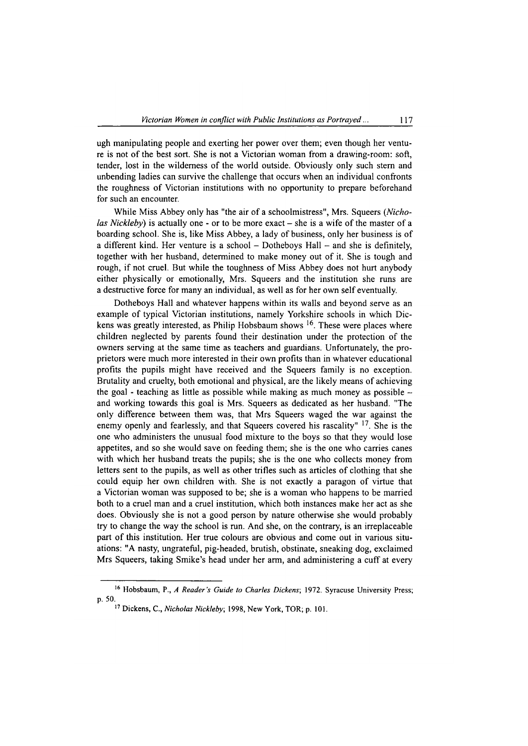ugh manipulating people and exerting her power over them; even though her venture is not of the best sort. She is not a Victorian woman from a drawing-room: soft, tender, lost in the wilderness of the world outside. Obviously only such stem and unbending ladies can survive the challenge that occurs when an individual confronts the roughness of Victorian institutions with no opportunity to prepare beforehand for such an encounter.

While Miss Abbey only has "the air of a schoolmistress", Mrs. Squeers (*Nicholas Nickleby*) is actually one - or to be more exact – she is a wife of the master of a boarding school. She is, like Miss Abbey, a lady of business, only her business is of a different kind. Her venture is a school  $-$  Dotheboys Hall  $-$  and she is definitely, together with her husband, determined to make money out of it. She is tough and rough, if not cruel. But while the toughness of Miss Abbey does not hurt anybody either physically or emotionally, Mrs. Squeers and the institution she runs are a destructive force for many an individual, as well as for her own self eventually.

Dotheboys Hall and whatever happens within its walls and beyond serve as an example of typical Victorian institutions, namely Yorkshire schools in which Dickens was greatly interested, as Philip Hobsbaum shows <sup>16</sup>. These were places where children neglected by parents found their destination under the protection of the owners serving at the same time as teachers and guardians. Unfortunately, the proprietors were much more interested in their own profits than in whatever educational profits the pupils might have received and the Squeers family is no exception. Brutality and cruelty, both emotional and physical, are the likely means of achieving the goal - teaching as little as possible while making as much money as possible  $$ and working towards this goal is Mrs. Squeers as dedicated as her husband. "The only difference between them was, that Mrs Squeers waged the war against the enemy openly and fearlessly, and that Squeers covered his rascality" <sup>17</sup>. She is the one who administers the unusual food mixture to the boys so that they would lose appetites, and so she would save on feeding them; she is the one who carries canes with which her husband treats the pupils; she is the one who collects money from letters sent to the pupils, as well as other trifles such as articles of clothing that she could equip her own children with. She is not exactly a paragon of virtue that a Victorian woman was supposed to be; she is a woman who happens to be married both to a cruel man and a cruel institution, which both instances make her act as she does. Obviously she is not a good person by nature otherwise she would probably try to change the way the school is run. And she, on the contrary, is an irreplaceable part of this institution. Her true colours are obvious and come out in various situations: "A nasty, ungrateful, pig-headed, brutish, obstinate, sneaking dog, exclaimed Mrs Squeers, taking Smike's head under her arm, and administering a cuff at every

**<sup>16</sup> Hobsbaum, P.,** *A Reader's Guide to Charles Dickens',* **1972. Syracuse University Press; p. 50.**

**<sup>17</sup> Dickens, C.,** *Nicholas Nickleby,* **1998, New York, TOR; p. 101.**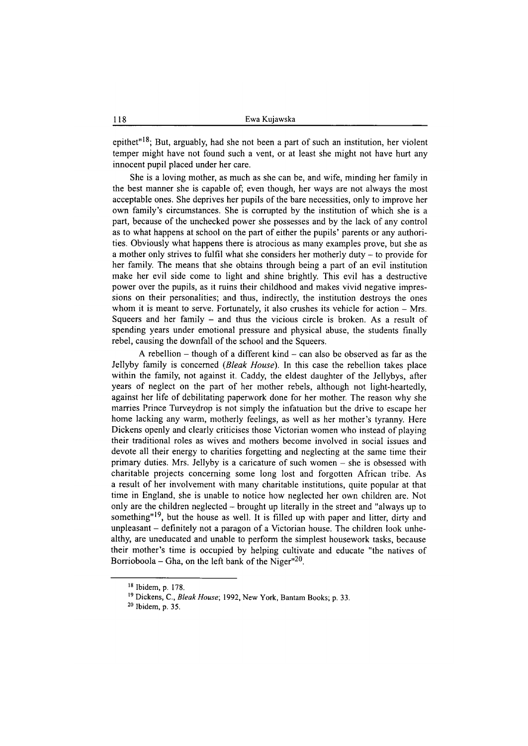epithet"18; But, arguably, had she not been a part of such an institution, her violent temper might have not found such a vent, or at least she might not have hurt any innocent pupil placed under her care.

She is a loving mother, as much as she can be, and wife, minding her family in the best manner she is capable of; even though, her ways are not always the most acceptable ones. She deprives her pupils of the bare necessities, only to improve her own family's circumstances. She is corrupted by the institution of which she is a part, because of the unchecked power she possesses and by the lack of any control as to what happens at school on the part of either the pupils' parents or any authorities. Obviously what happens there is atrocious as many examples prove, but she as a mother only strives to fulfil what she considers her motherly duty - to provide for her family. The means that she obtains through being a part of an evil institution make her evil side come to light and shine brightly. This evil has a destructive power over the pupils, as it ruins their childhood and makes vivid negative impressions on their personalities; and thus, indirectly, the institution destroys the ones whom it is meant to serve. Fortunately, it also crushes its vehicle for action  $-$  Mrs. Squeers and her family  $-$  and thus the vicious circle is broken. As a result of spending years under emotional pressure and physical abuse, the students finally rebel, causing the downfall of the school and the Squeers.

A rebellion  $-$  though of a different kind  $-$  can also be observed as far as the Jellyby family is concerned *(Bleak House).* In this case the rebellion takes place within the family, not against it. Caddy, the eldest daughter of the Jellybys, after years of neglect on the part of her mother rebels, although not light-heartedly, against her life of debilitating paperwork done for her mother. The reason why she marries Prince Turveydrop is not simply the infatuation but the drive to escape her home lacking any warm, motherly feelings, as well as her mother's tyranny. Here Dickens openly and clearly criticises those Victorian women who instead of playing their traditional roles as wives and mothers become involved in social issues and devote all their energy to charities forgetting and neglecting at the same time their primary duties. Mrs. Jellyby is a caricature of such women - she is obsessed with charitable projects concerning some long lost and forgotten African tribe. As a result of her involvement with many charitable institutions, quite popular at that time in England, she is unable to notice how neglected her own children are. Not only are the children neglected - brought up literally in the street and "always up to something"<sup>19</sup>, but the house as well. It is filled up with paper and litter, dirty and unpleasant - definitely not a paragon of a Victorian house. The children look unhealthy, are uneducated and unable to perform the simplest housework tasks, because their mother's time is occupied by helping cultivate and educate "the natives of Borrioboola – Gha, on the left bank of the Niger"<sup>20</sup>.

**<sup>18</sup> Ibidem, p. 178.**

**<sup>19</sup> Dickens, C.,** *Bleak House,* **1992, New York, Bantam Books; p. 33.**

**<sup>20</sup> Ibidem, p. 35.**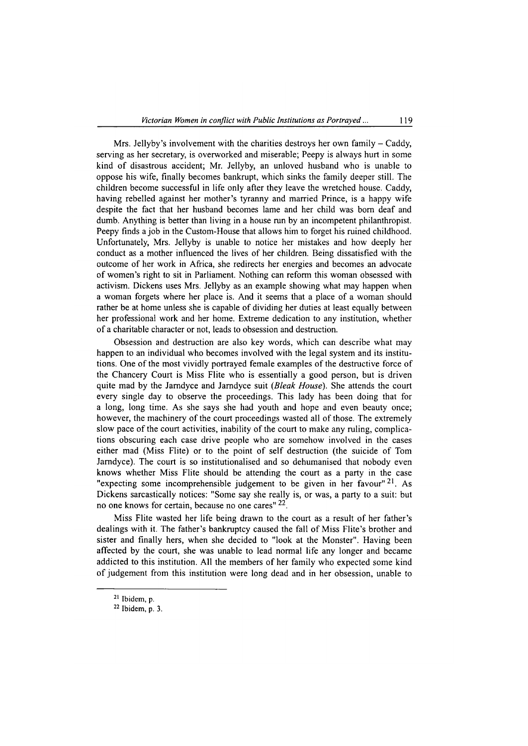Mrs. Jellyby's involvement with the charities destroys her own family  $-$  Caddy, serving as her secretary, is overworked and miserable; Peepy is always hurt in some kind of disastrous accident; Mr. Jellyby, an unloved husband who is unable to oppose his wife, finally becomes bankrupt, which sinks the family deeper still. The children become successful in life only after they leave the wretched house. Caddy, having rebelled against her mother's tyranny and married Prince, is a happy wife despite the fact that her husband becomes lame and her child was bom deaf and dumb. Anything is better than living in a house ran by an incompetent philanthropist. Peepy finds a job in the Custom-House that allows him to forget his ruined childhood. Unfortunately, Mrs. Jellyby is unable to notice her mistakes and how deeply her conduct as a mother influenced the lives of her children. Being dissatisfied with the outcome of her work in Africa, she redirects her energies and becomes an advocate of women's right to sit in Parliament. Nothing can reform this woman obsessed with activism. Dickens uses Mrs. Jellyby as an example showing what may happen when a woman forgets where her place is. And it seems that a place of a woman should rather be at home unless she is capable of dividing her duties at least equally between her professional work and her home. Extreme dedication to any institution, whether of a charitable character or not, leads to obsession and destruction.

Obsession and destruction are also key words, which can describe what may happen to an individual who becomes involved with the legal system and its institutions. One of the most vividly portrayed female examples of the destructive force of the Chancery Court is Miss Flite who is essentially a good person, but is driven quite mad by the Jamdyce and Jamdyce suit *(Bleak House).* She attends the court every single day to observe the proceedings. This lady has been doing that for a long, long time. As she says she had youth and hope and even beauty once; however, the machinery of the court proceedings wasted all of those. The extremely slow pace of the court activities, inability of the court to make any ruling, complications obscuring each case drive people who are somehow involved in the cases either mad (Miss Flite) or to the point of self destruction (the suicide of Tom Jamdyce). The court is so institutionalised and so dehumanised that nobody even knows whether Miss Flite should be attending the court as a party in the case "expecting some incomprehensible judgement to be given in her favour"<sup>21</sup>. As Dickens sarcastically notices: "Some say she really is, or was, a party to a suit: but no one knows for certain, because no one cares" <sup>22</sup>.

Miss Flite wasted her life being drawn to the court as a result of her father's dealings with it. The father's bankruptcy caused the fall of Miss Flite's brother and sister and finally hers, when she decided to "look at the Monster". Having been affected by the court, she was unable to lead normal life any longer and became addicted to this institution. All the members of her family who expected some kind of judgement from this institution were long dead and in her obsession, unable to

**<sup>21</sup> Ibidem, p.**

**<sup>22</sup> Ibidem, p. 3.**